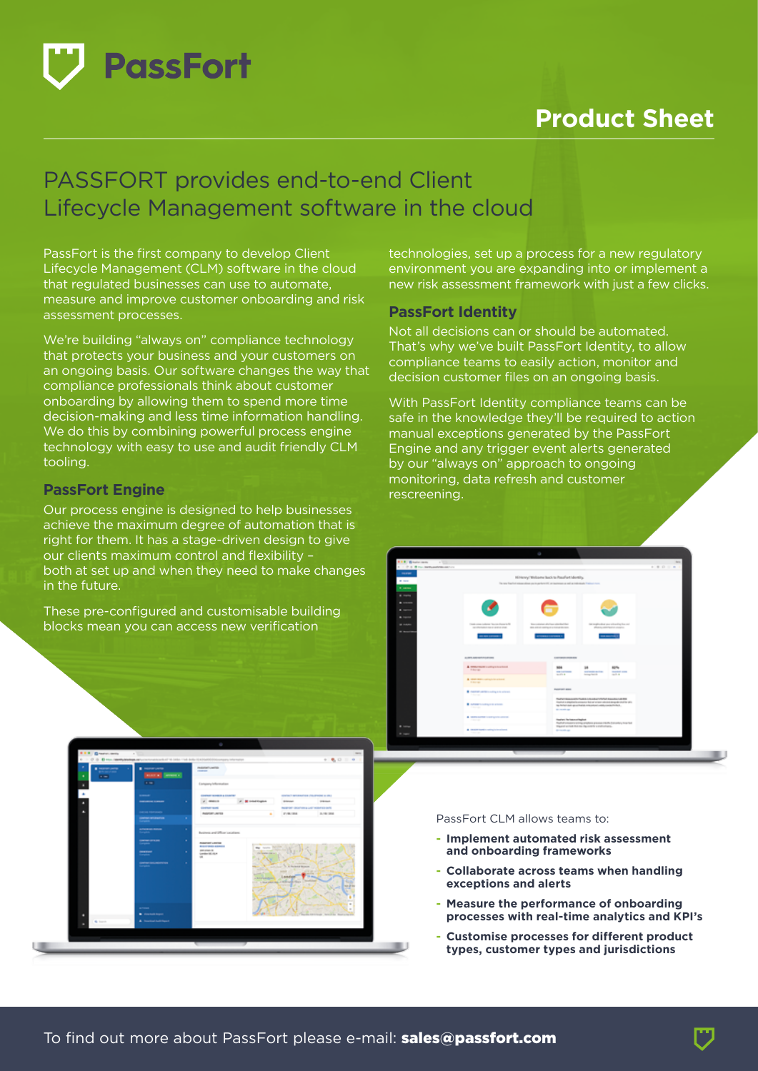

# **Product Sheet**

## PASSFORT provides end-to-end Client Lifecycle Management software in the cloud

PassFort is the first company to develop Client Lifecycle Management (CLM) software in the cloud that regulated businesses can use to automate, measure and improve customer onboarding and risk assessment processes.

We're building "always on" compliance technology that protects your business and your customers on an ongoing basis. Our software changes the way that compliance professionals think about customer onboarding by allowing them to spend more time decision-making and less time information handling. We do this by combining powerful process engine technology with easy to use and audit friendly CLM tooling.

#### **PassFort Engine**

Our process engine is designed to help businesses achieve the maximum degree of automation that is right for them. It has a stage-driven design to give our clients maximum control and flexibility – both at set up and when they need to make changes in the future.

These pre-configured and customisable building blocks mean you can access new verification

technologies, set up a process for a new regulatory environment you are expanding into or implement a new risk assessment framework with just a few clicks.

### **PassFort Identity**

Not all decisions can or should be automated. That's why we've built PassFort Identity, to allow compliance teams to easily action, monitor and decision customer files on an ongoing basis.

With PassFort Identity compliance teams can be safe in the knowledge they'll be required to action manual exceptions generated by the PassFort Engine and any trigger event alerts generated by our "always on" approach to ongoing monitoring, data refresh and customer rescreening.



#### PassFort CLM allows teams to:

- **Implement automated risk assessment and onboarding frameworks**
- **Collaborate across teams when handling exceptions and alerts**
- **Measure the performance of onboarding processes with real-time analytics and KPI's**
- **Customise processes for different product types, customer types and jurisdictions**